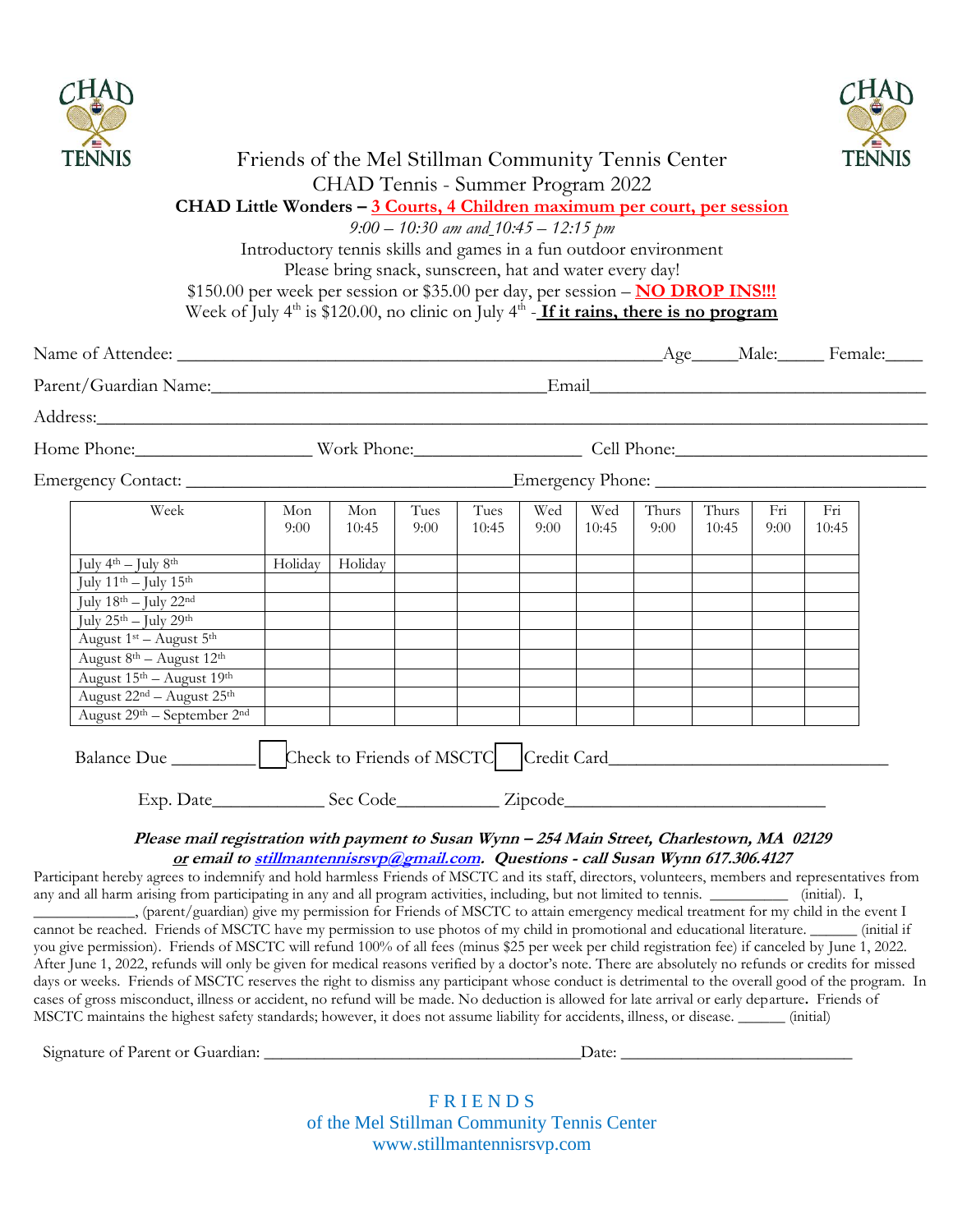



| <b>TENNIS</b>                                                                                                                                                                                                                                                                                        | Friends of the Mel Stillman Community Tennis Center<br>CHAD Tennis - Summer Program 2022                                                                                      |                                                         |      |                                          |      |                             |       |       |      | <b>SILLEN</b><br><b>TENNIS</b> |  |  |
|------------------------------------------------------------------------------------------------------------------------------------------------------------------------------------------------------------------------------------------------------------------------------------------------------|-------------------------------------------------------------------------------------------------------------------------------------------------------------------------------|---------------------------------------------------------|------|------------------------------------------|------|-----------------------------|-------|-------|------|--------------------------------|--|--|
|                                                                                                                                                                                                                                                                                                      | CHAD Little Wonders - 3 Courts, 4 Children maximum per court, per session                                                                                                     |                                                         |      |                                          |      |                             |       |       |      |                                |  |  |
|                                                                                                                                                                                                                                                                                                      |                                                                                                                                                                               |                                                         |      | $9.00 - 10.30$ am and $10.45 - 12.15$ pm |      |                             |       |       |      |                                |  |  |
|                                                                                                                                                                                                                                                                                                      | Introductory tennis skills and games in a fun outdoor environment                                                                                                             |                                                         |      |                                          |      |                             |       |       |      |                                |  |  |
|                                                                                                                                                                                                                                                                                                      |                                                                                                                                                                               | Please bring snack, sunscreen, hat and water every day! |      |                                          |      |                             |       |       |      |                                |  |  |
|                                                                                                                                                                                                                                                                                                      | \$150.00 per week per session or \$35.00 per day, per session - NO DROP INS !!!<br>Week of July $4th$ is \$120.00, no clinic on July $4th$ - If it rains, there is no program |                                                         |      |                                          |      |                             |       |       |      |                                |  |  |
|                                                                                                                                                                                                                                                                                                      |                                                                                                                                                                               |                                                         |      |                                          |      |                             |       |       |      |                                |  |  |
|                                                                                                                                                                                                                                                                                                      |                                                                                                                                                                               |                                                         |      |                                          |      |                             |       |       |      |                                |  |  |
| Address: <u>and the same of the same of the same of the same of the same of the same of the same of the same of the same of the same of the same of the same of the same of the same of the same of the same of the same of the </u>                                                                 |                                                                                                                                                                               |                                                         |      |                                          |      |                             |       |       |      |                                |  |  |
|                                                                                                                                                                                                                                                                                                      |                                                                                                                                                                               |                                                         |      |                                          |      |                             |       |       |      |                                |  |  |
|                                                                                                                                                                                                                                                                                                      |                                                                                                                                                                               |                                                         |      |                                          |      |                             |       |       |      |                                |  |  |
| Week                                                                                                                                                                                                                                                                                                 | Mon                                                                                                                                                                           | Mon                                                     | Tues | Tues                                     | Wed  | Wed                         | Thurs | Thurs | Fri  | Fri                            |  |  |
|                                                                                                                                                                                                                                                                                                      | 9:00                                                                                                                                                                          | 10:45                                                   | 9:00 | 10:45                                    | 9:00 | 10:45                       | 9:00  | 10:45 | 9:00 | 10:45                          |  |  |
| July $4^{th}$ – July $8^{th}$                                                                                                                                                                                                                                                                        | Holiday                                                                                                                                                                       | Holiday                                                 |      |                                          |      |                             |       |       |      |                                |  |  |
| July $11^{th}$ – July $15^{th}$                                                                                                                                                                                                                                                                      |                                                                                                                                                                               |                                                         |      |                                          |      |                             |       |       |      |                                |  |  |
| July $18^{\text{th}} -$ July $22^{\text{nd}}$                                                                                                                                                                                                                                                        |                                                                                                                                                                               |                                                         |      |                                          |      |                             |       |       |      |                                |  |  |
| July $25^{\text{th}} -$ July $29^{\text{th}}$                                                                                                                                                                                                                                                        |                                                                                                                                                                               |                                                         |      |                                          |      |                             |       |       |      |                                |  |  |
| August $1st$ – August $5th$                                                                                                                                                                                                                                                                          |                                                                                                                                                                               |                                                         |      |                                          |      |                             |       |       |      |                                |  |  |
| August $8^{th}$ – August $12^{th}$                                                                                                                                                                                                                                                                   |                                                                                                                                                                               |                                                         |      |                                          |      |                             |       |       |      |                                |  |  |
| August 15 <sup>th</sup> – August 19 <sup>th</sup>                                                                                                                                                                                                                                                    |                                                                                                                                                                               |                                                         |      |                                          |      |                             |       |       |      |                                |  |  |
| August 22 <sup>nd</sup> - August 25 <sup>th</sup>                                                                                                                                                                                                                                                    |                                                                                                                                                                               |                                                         |      |                                          |      |                             |       |       |      |                                |  |  |
| August 29th - September 2nd                                                                                                                                                                                                                                                                          |                                                                                                                                                                               |                                                         |      |                                          |      |                             |       |       |      |                                |  |  |
| Balance Due ________________  Check to Friends of MSCTC   Credit Card_______________________________                                                                                                                                                                                                 |                                                                                                                                                                               |                                                         |      |                                          |      |                             |       |       |      |                                |  |  |
|                                                                                                                                                                                                                                                                                                      |                                                                                                                                                                               |                                                         |      |                                          |      |                             |       |       |      |                                |  |  |
| Please mail registration with payment to Susan Wynn - 254 Main Street, Charlestown, MA 02129                                                                                                                                                                                                         |                                                                                                                                                                               |                                                         |      |                                          |      |                             |       |       |      |                                |  |  |
| or email to stillmantennisrsvp@gmail.com. Questions - call Susan Wynn 617.306.4127                                                                                                                                                                                                                   |                                                                                                                                                                               |                                                         |      |                                          |      |                             |       |       |      |                                |  |  |
| Participant hereby agrees to indemnify and hold harmless Friends of MSCTC and its staff, directors, volunteers, members and representatives from                                                                                                                                                     |                                                                                                                                                                               |                                                         |      |                                          |      |                             |       |       |      |                                |  |  |
| any and all harm arising from participating in any and all program activities, including, but not limited to tennis.                                                                                                                                                                                 |                                                                                                                                                                               |                                                         |      |                                          |      |                             |       |       |      | (initial). I,                  |  |  |
| _, (parent/guardian) give my permission for Friends of MSCTC to attain emergency medical treatment for my child in the event I                                                                                                                                                                       |                                                                                                                                                                               |                                                         |      |                                          |      |                             |       |       |      |                                |  |  |
| cannot be reached. Friends of MSCTC have my permission to use photos of my child in promotional and educational literature. _______ (initial if                                                                                                                                                      |                                                                                                                                                                               |                                                         |      |                                          |      |                             |       |       |      |                                |  |  |
| you give permission). Friends of MSCTC will refund 100% of all fees (minus \$25 per week per child registration fee) if canceled by June 1, 2022.                                                                                                                                                    |                                                                                                                                                                               |                                                         |      |                                          |      |                             |       |       |      |                                |  |  |
| After June 1, 2022, refunds will only be given for medical reasons verified by a doctor's note. There are absolutely no refunds or credits for missed                                                                                                                                                |                                                                                                                                                                               |                                                         |      |                                          |      |                             |       |       |      |                                |  |  |
| days or weeks. Friends of MSCTC reserves the right to dismiss any participant whose conduct is detrimental to the overall good of the program. In<br>cases of gross misconduct, illness or accident, no refund will be made. No deduction is allowed for late arrival or early departure. Friends of |                                                                                                                                                                               |                                                         |      |                                          |      |                             |       |       |      |                                |  |  |
| MSCTC maintains the highest safety standards; however, it does not assume liability for accidents, illness, or disease. ______ (initial)                                                                                                                                                             |                                                                                                                                                                               |                                                         |      |                                          |      |                             |       |       |      |                                |  |  |
| Signature of Parent or Guardian:                                                                                                                                                                                                                                                                     |                                                                                                                                                                               |                                                         |      |                                          |      | _Date: $\rule{1em}{0.15mm}$ |       |       |      |                                |  |  |

F R I E N D S of the Mel Stillman Community Tennis Center www.stillmantennisrsvp.com